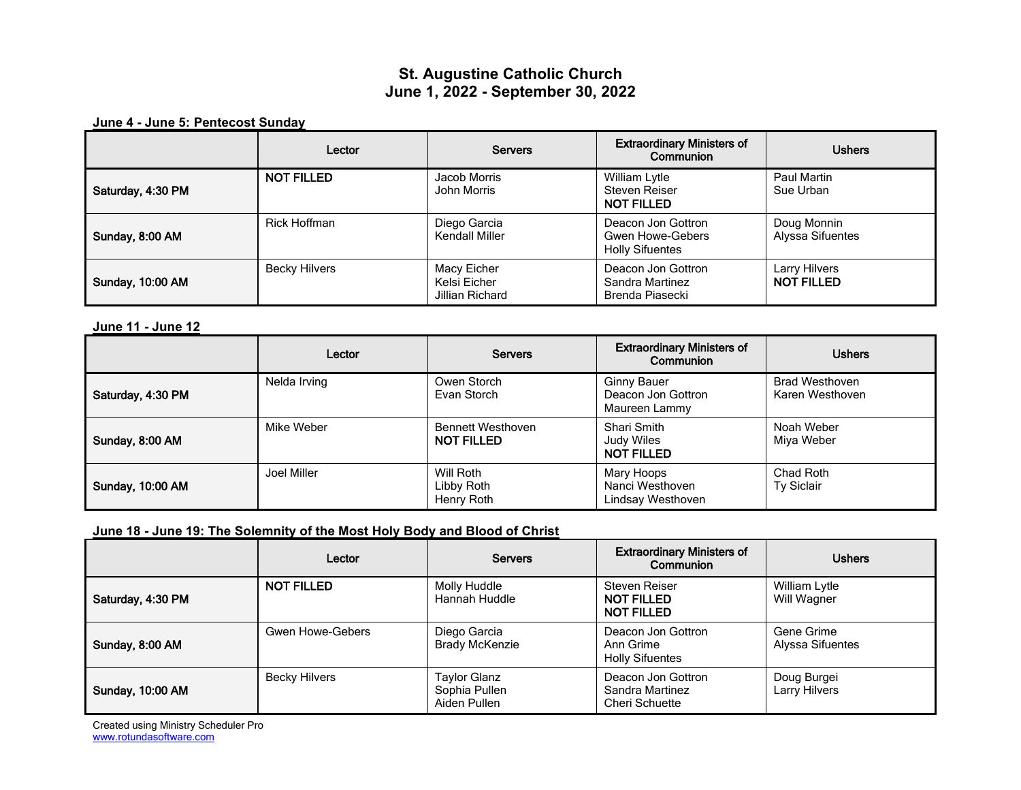# **St. Augustine Catholic Church June 1, 2022 - September 30, 2022**

**June 4 - June 5: Pentecost Sunday**

|                         | Lector               | <b>Servers</b>                                 | <b>Extraordinary Ministers of</b><br>Communion                          | <b>Ushers</b>                      |
|-------------------------|----------------------|------------------------------------------------|-------------------------------------------------------------------------|------------------------------------|
| Saturday, 4:30 PM       | <b>NOT FILLED</b>    | Jacob Morris<br>John Morris                    | William Lytle<br>Steven Reiser<br><b>NOT FILLED</b>                     | Paul Martin<br>Sue Urban           |
| Sunday, 8:00 AM         | Rick Hoffman         | Diego Garcia<br>Kendall Miller                 | Deacon Jon Gottron<br><b>Gwen Howe-Gebers</b><br><b>Holly Sifuentes</b> | Doug Monnin<br>Alyssa Sifuentes    |
| <b>Sunday, 10:00 AM</b> | <b>Becky Hilvers</b> | Macy Eicher<br>Kelsi Eicher<br>Jillian Richard | Deacon Jon Gottron<br>Sandra Martinez<br>Brenda Piasecki                | Larry Hilvers<br><b>NOT FILLED</b> |

**June 11 - June 12**

|                         | Lector       | <b>Servers</b>                                | <b>Extraordinary Ministers of</b><br>Communion            | <b>Ushers</b>                            |
|-------------------------|--------------|-----------------------------------------------|-----------------------------------------------------------|------------------------------------------|
| Saturday, 4:30 PM       | Nelda Irving | Owen Storch<br>Evan Storch                    | <b>Ginny Bauer</b><br>Deacon Jon Gottron<br>Maureen Lammy | <b>Brad Westhoven</b><br>Karen Westhoven |
| Sunday, 8:00 AM         | Mike Weber   | <b>Bennett Westhoven</b><br><b>NOT FILLED</b> | Shari Smith<br>Judy Wiles<br><b>NOT FILLED</b>            | Noah Weber<br>Miya Weber                 |
| <b>Sunday, 10:00 AM</b> | Joel Miller  | Will Roth<br>Libby Roth<br>Henry Roth         | Mary Hoops<br>Nanci Westhoven<br>Lindsay Westhoven        | Chad Roth<br>Ty Siclair                  |

### **June 18 - June 19: The Solemnity of the Most Holy Body and Blood of Christ**

|                         | Lector               | <b>Servers</b>                                       | <b>Extraordinary Ministers of</b><br>Communion            | <b>Ushers</b>                  |
|-------------------------|----------------------|------------------------------------------------------|-----------------------------------------------------------|--------------------------------|
| Saturday, 4:30 PM       | <b>NOT FILLED</b>    | Molly Huddle<br>Hannah Huddle                        | Steven Reiser<br><b>NOT FILLED</b><br><b>NOT FILLED</b>   | William Lytle<br>Will Wagner   |
| Sunday, 8:00 AM         | Gwen Howe-Gebers     | Diego Garcia<br><b>Brady McKenzie</b>                | Deacon Jon Gottron<br>Ann Grime<br><b>Holly Sifuentes</b> | Gene Grime<br>Alyssa Sifuentes |
| <b>Sunday, 10:00 AM</b> | <b>Becky Hilvers</b> | <b>Taylor Glanz</b><br>Sophia Pullen<br>Aiden Pullen | Deacon Jon Gottron<br>Sandra Martinez<br>Cheri Schuette   | Doug Burgei<br>Larry Hilvers   |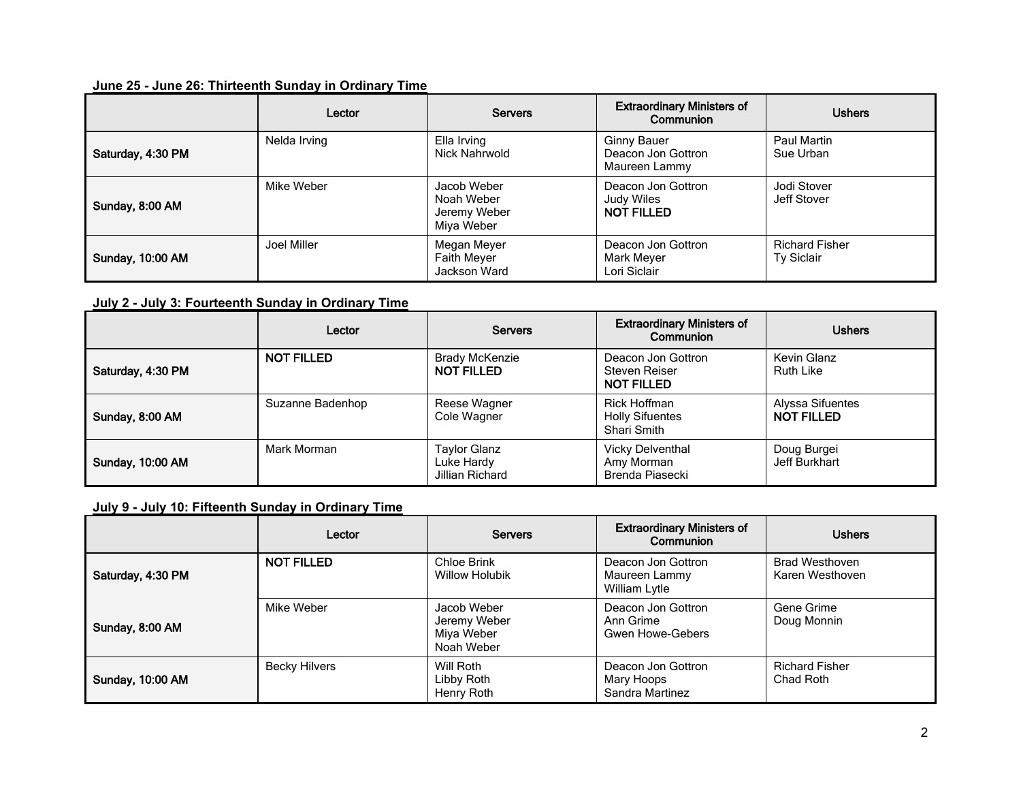## **June 25 - June 26: Thirteenth Sunday in Ordinary Time**

|                         | Lector       | <b>Servers</b>                                          | <b>Extraordinary Ministers of</b><br>Communion            | <b>Ushers</b>                       |
|-------------------------|--------------|---------------------------------------------------------|-----------------------------------------------------------|-------------------------------------|
| Saturday, 4:30 PM       | Nelda Irving | Ella Irving<br>Nick Nahrwold                            | <b>Ginny Bauer</b><br>Deacon Jon Gottron<br>Maureen Lammy | Paul Martin<br>Sue Urban            |
| Sunday, 8:00 AM         | Mike Weber   | Jacob Weber<br>Noah Weber<br>Jeremy Weber<br>Miya Weber | Deacon Jon Gottron<br>Judy Wiles<br><b>NOT FILLED</b>     | Jodi Stover<br>Jeff Stover          |
| <b>Sunday, 10:00 AM</b> | Joel Miller  | Megan Meyer<br><b>Faith Meyer</b><br>Jackson Ward       | Deacon Jon Gottron<br>Mark Meyer<br>Lori Siclair          | <b>Richard Fisher</b><br>Ty Siclair |

**July 2 - July 3: Fourteenth Sunday in Ordinary Time**

|                         | Lector            | <b>Servers</b>                                       | <b>Extraordinary Ministers of</b><br>Communion           | <b>Ushers</b>                         |
|-------------------------|-------------------|------------------------------------------------------|----------------------------------------------------------|---------------------------------------|
| Saturday, 4:30 PM       | <b>NOT FILLED</b> | <b>Brady McKenzie</b><br><b>NOT FILLED</b>           | Deacon Jon Gottron<br>Steven Reiser<br><b>NOT FILLED</b> | Kevin Glanz<br><b>Ruth Like</b>       |
| Sunday, 8:00 AM         | Suzanne Badenhop  | Reese Wagner<br>Cole Wagner                          | Rick Hoffman<br><b>Holly Sifuentes</b><br>Shari Smith    | Alyssa Sifuentes<br><b>NOT FILLED</b> |
| <b>Sunday, 10:00 AM</b> | Mark Morman       | <b>Taylor Glanz</b><br>Luke Hardy<br>Jillian Richard | <b>Vicky Delventhal</b><br>Amy Morman<br>Brenda Piasecki | Doug Burgei<br>Jeff Burkhart          |

**July 9 - July 10: Fifteenth Sunday in Ordinary Time**

|                         | Lector               | <b>Servers</b>                                          | <b>Extraordinary Ministers of</b><br>Communion             | <b>Ushers</b>                            |
|-------------------------|----------------------|---------------------------------------------------------|------------------------------------------------------------|------------------------------------------|
| Saturday, 4:30 PM       | <b>NOT FILLED</b>    | Chloe Brink<br><b>Willow Holubik</b>                    | Deacon Jon Gottron<br>Maureen Lammy<br>William Lytle       | <b>Brad Westhoven</b><br>Karen Westhoven |
| Sunday, 8:00 AM         | Mike Weber           | Jacob Weber<br>Jeremy Weber<br>Miya Weber<br>Noah Weber | Deacon Jon Gottron<br>Ann Grime<br><b>Gwen Howe-Gebers</b> | Gene Grime<br>Doug Monnin                |
| <b>Sunday, 10:00 AM</b> | <b>Becky Hilvers</b> | Will Roth<br>Libby Roth<br>Henry Roth                   | Deacon Jon Gottron<br>Mary Hoops<br>Sandra Martinez        | <b>Richard Fisher</b><br>Chad Roth       |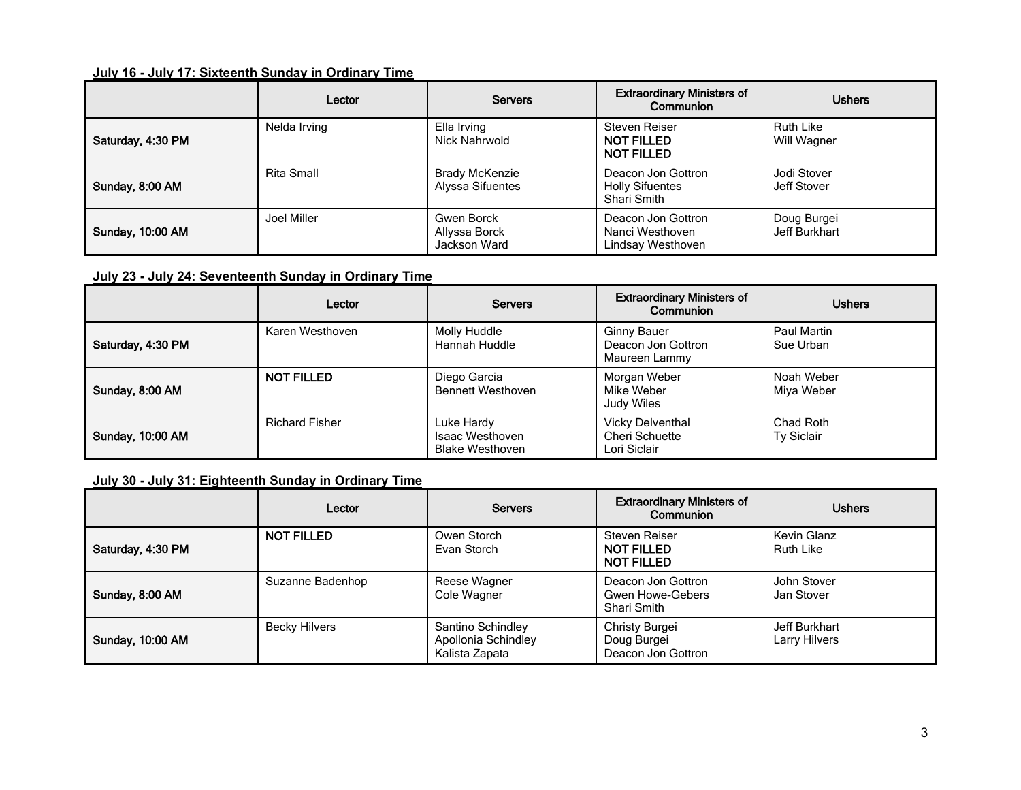## **July 16 - July 17: Sixteenth Sunday in Ordinary Time**

|                         | Lector       | <b>Servers</b>                              | <b>Extraordinary Ministers of</b><br>Communion              | <b>Ushers</b>                   |
|-------------------------|--------------|---------------------------------------------|-------------------------------------------------------------|---------------------------------|
| Saturday, 4:30 PM       | Nelda Irving | Ella Irving<br>Nick Nahrwold                | Steven Reiser<br><b>NOT FILLED</b><br><b>NOT FILLED</b>     | <b>Ruth Like</b><br>Will Wagner |
| Sunday, 8:00 AM         | Rita Small   | <b>Brady McKenzie</b><br>Alyssa Sifuentes   | Deacon Jon Gottron<br><b>Holly Sifuentes</b><br>Shari Smith | Jodi Stover<br>Jeff Stover      |
| <b>Sunday, 10:00 AM</b> | Joel Miller  | Gwen Borck<br>Allyssa Borck<br>Jackson Ward | Deacon Jon Gottron<br>Nanci Westhoven<br>Lindsay Westhoven  | Doug Burgei<br>Jeff Burkhart    |

#### **July 23 - July 24: Seventeenth Sunday in Ordinary Time**

|                         | Lector                | <b>Servers</b>                                          | <b>Extraordinary Ministers of</b><br>Communion            | <b>Ushers</b>            |
|-------------------------|-----------------------|---------------------------------------------------------|-----------------------------------------------------------|--------------------------|
| Saturday, 4:30 PM       | Karen Westhoven       | Molly Huddle<br>Hannah Huddle                           | <b>Ginny Bauer</b><br>Deacon Jon Gottron<br>Maureen Lammy | Paul Martin<br>Sue Urban |
| Sunday, 8:00 AM         | <b>NOT FILLED</b>     | Diego Garcia<br><b>Bennett Westhoven</b>                | Morgan Weber<br>Mike Weber<br>Judy Wiles                  | Noah Weber<br>Miya Weber |
| <b>Sunday, 10:00 AM</b> | <b>Richard Fisher</b> | Luke Hardy<br>Isaac Westhoven<br><b>Blake Westhoven</b> | <b>Vicky Delventhal</b><br>Cheri Schuette<br>Lori Siclair | Chad Roth<br>Ty Siclair  |

# **July 30 - July 31: Eighteenth Sunday in Ordinary Time**

|                         | Lector               | <b>Servers</b>                                             | <b>Extraordinary Ministers of</b><br>Communion                 | <b>Ushers</b>                   |
|-------------------------|----------------------|------------------------------------------------------------|----------------------------------------------------------------|---------------------------------|
| Saturday, 4:30 PM       | <b>NOT FILLED</b>    | Owen Storch<br>Evan Storch                                 | <b>Steven Reiser</b><br><b>NOT FILLED</b><br><b>NOT FILLED</b> | Kevin Glanz<br><b>Ruth Like</b> |
| Sunday, 8:00 AM         | Suzanne Badenhop     | Reese Wagner<br>Cole Wagner                                | Deacon Jon Gottron<br>Gwen Howe-Gebers<br>Shari Smith          | John Stover<br>Jan Stover       |
| <b>Sunday, 10:00 AM</b> | <b>Becky Hilvers</b> | Santino Schindley<br>Apollonia Schindley<br>Kalista Zapata | Christy Burgei<br>Doug Burgei<br>Deacon Jon Gottron            | Jeff Burkhart<br>Larry Hilvers  |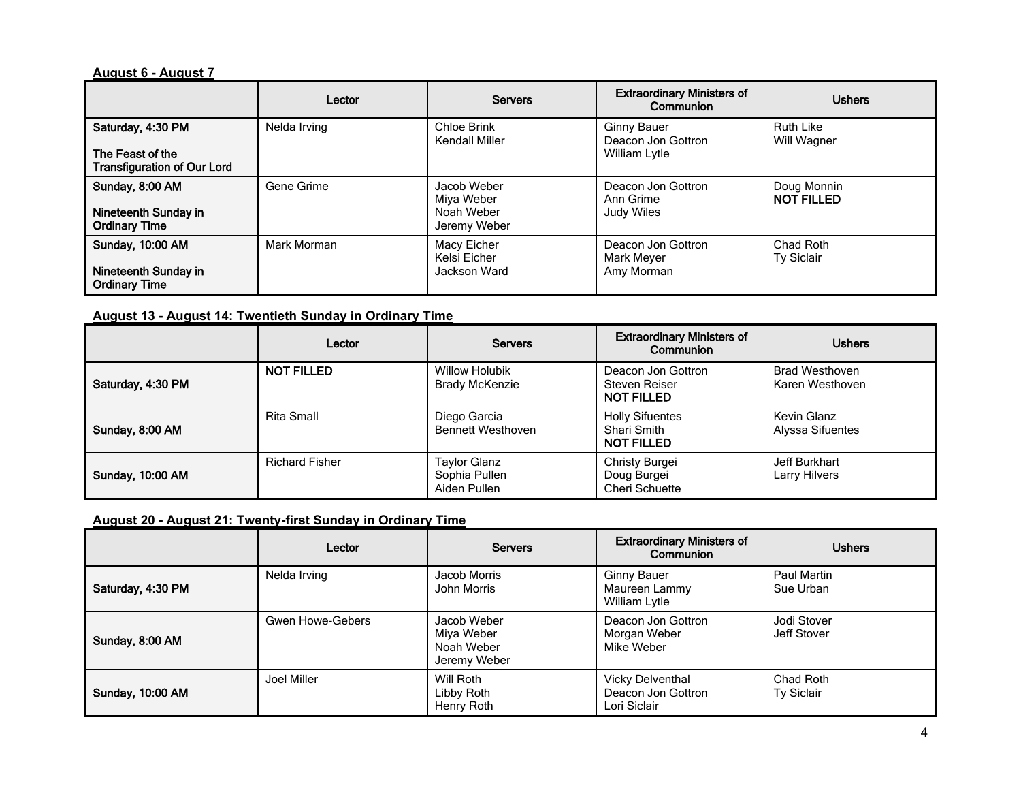#### **August 6 - August 7**

|                                              | Lector       | <b>Servers</b>                | <b>Extraordinary Ministers of</b><br>Communion     | <b>Ushers</b>                    |
|----------------------------------------------|--------------|-------------------------------|----------------------------------------------------|----------------------------------|
| Saturday, 4:30 PM<br>The Feast of the        | Nelda Irving | Chloe Brink<br>Kendall Miller | Ginny Bauer<br>Deacon Jon Gottron<br>William Lytle | <b>Ruth Like</b><br>Will Wagner  |
| <b>Transfiguration of Our Lord</b>           |              |                               |                                                    |                                  |
| Sunday, 8:00 AM                              | Gene Grime   | Jacob Weber<br>Miya Weber     | Deacon Jon Gottron<br>Ann Grime                    | Doug Monnin<br><b>NOT FILLED</b> |
| Nineteenth Sunday in<br><b>Ordinary Time</b> |              | Noah Weber<br>Jeremy Weber    | Judy Wiles                                         |                                  |
| <b>Sunday, 10:00 AM</b>                      | Mark Morman  | Macy Eicher<br>Kelsi Eicher   | Deacon Jon Gottron<br>Mark Meyer                   | Chad Roth<br><b>Ty Siclair</b>   |
| Nineteenth Sunday in<br><b>Ordinary Time</b> |              | Jackson Ward                  | Amy Morman                                         |                                  |

## **August 13 - August 14: Twentieth Sunday in Ordinary Time**

|                         | Lector                | <b>Servers</b>                                 | <b>Extraordinary Ministers of</b><br>Communion             | <b>Ushers</b>                            |
|-------------------------|-----------------------|------------------------------------------------|------------------------------------------------------------|------------------------------------------|
| Saturday, 4:30 PM       | <b>NOT FILLED</b>     | <b>Willow Holubik</b><br><b>Brady McKenzie</b> | Deacon Jon Gottron<br>Steven Reiser<br><b>NOT FILLED</b>   | <b>Brad Westhoven</b><br>Karen Westhoven |
| Sunday, 8:00 AM         | Rita Small            | Diego Garcia<br><b>Bennett Westhoven</b>       | <b>Holly Sifuentes</b><br>Shari Smith<br><b>NOT FILLED</b> | Kevin Glanz<br>Alyssa Sifuentes          |
| <b>Sunday, 10:00 AM</b> | <b>Richard Fisher</b> | Taylor Glanz<br>Sophia Pullen<br>Aiden Pullen  | Christy Burgei<br>Doug Burgei<br><b>Cheri Schuette</b>     | Jeff Burkhart<br>Larry Hilvers           |

# **August 20 - August 21: Twenty-first Sunday in Ordinary Time**

|                         | Lector           | <b>Servers</b>                                          | <b>Extraordinary Ministers of</b><br>Communion                | <b>Ushers</b>              |
|-------------------------|------------------|---------------------------------------------------------|---------------------------------------------------------------|----------------------------|
| Saturday, 4:30 PM       | Nelda Irving     | Jacob Morris<br>John Morris                             | <b>Ginny Bauer</b><br>Maureen Lammy<br>William Lytle          | Paul Martin<br>Sue Urban   |
| Sunday, 8:00 AM         | Gwen Howe-Gebers | Jacob Weber<br>Miya Weber<br>Noah Weber<br>Jeremy Weber | Deacon Jon Gottron<br>Morgan Weber<br>Mike Weber              | Jodi Stover<br>Jeff Stover |
| <b>Sunday, 10:00 AM</b> | Joel Miller      | Will Roth<br>Libby Roth<br>Henry Roth                   | <b>Vicky Delventhal</b><br>Deacon Jon Gottron<br>Lori Siclair | Chad Roth<br>Ty Siclair    |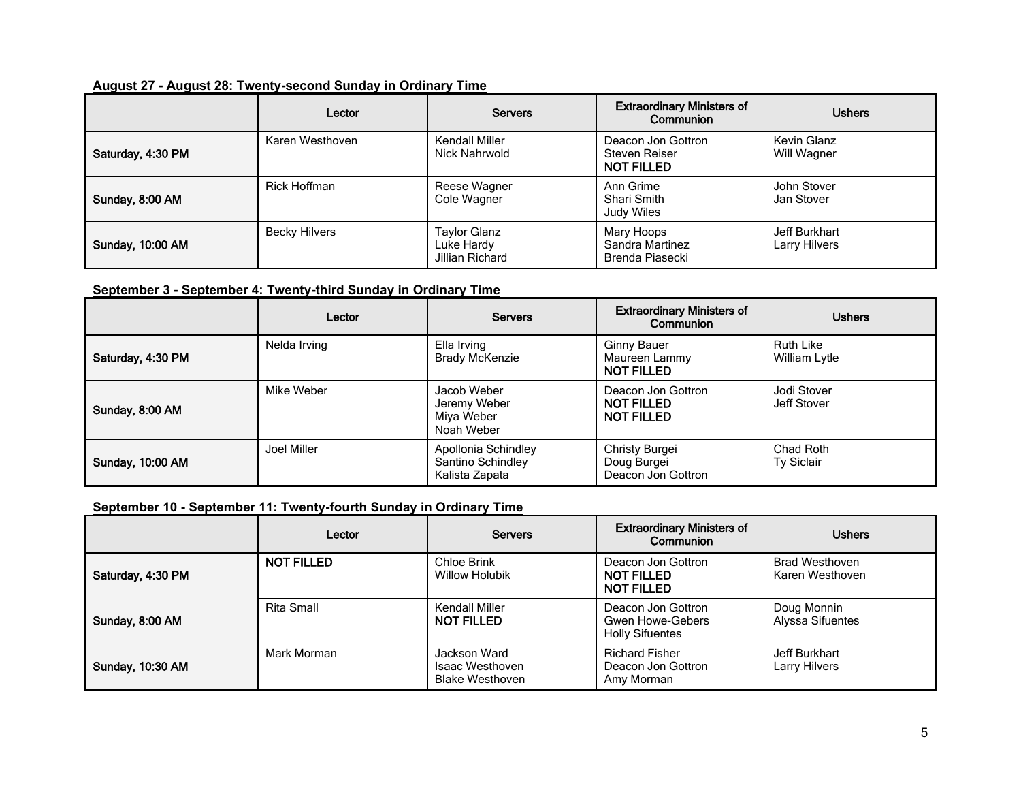#### **August 27 - August 28: Twenty-second Sunday in Ordinary Time**

|                   | Lector               | <b>Servers</b>                                       | <b>Extraordinary Ministers of</b><br>Communion           | <b>Ushers</b>                  |
|-------------------|----------------------|------------------------------------------------------|----------------------------------------------------------|--------------------------------|
| Saturday, 4:30 PM | Karen Westhoven      | Kendall Miller<br>Nick Nahrwold                      | Deacon Jon Gottron<br>Steven Reiser<br><b>NOT FILLED</b> | Kevin Glanz<br>Will Wagner     |
| Sunday, 8:00 AM   | Rick Hoffman         | Reese Wagner<br>Cole Wagner                          | Ann Grime<br>Shari Smith<br>Judy Wiles                   | John Stover<br>Jan Stover      |
| Sunday, 10:00 AM  | <b>Becky Hilvers</b> | <b>Taylor Glanz</b><br>Luke Hardy<br>Jillian Richard | Mary Hoops<br>Sandra Martinez<br>Brenda Piasecki         | Jeff Burkhart<br>Larry Hilvers |

#### **September 3 - September 4: Twenty-third Sunday in Ordinary Time**

|                   | Lector       | <b>Servers</b>                                             | <b>Extraordinary Ministers of</b><br>Communion               | <b>Ushers</b>                     |
|-------------------|--------------|------------------------------------------------------------|--------------------------------------------------------------|-----------------------------------|
| Saturday, 4:30 PM | Nelda Irving | Ella Irving<br><b>Brady McKenzie</b>                       | <b>Ginny Bauer</b><br>Maureen Lammy<br><b>NOT FILLED</b>     | <b>Ruth Like</b><br>William Lytle |
| Sunday, 8:00 AM   | Mike Weber   | Jacob Weber<br>Jeremy Weber<br>Miya Weber<br>Noah Weber    | Deacon Jon Gottron<br><b>NOT FILLED</b><br><b>NOT FILLED</b> | Jodi Stover<br>Jeff Stover        |
| Sunday, 10:00 AM  | Joel Miller  | Apollonia Schindley<br>Santino Schindley<br>Kalista Zapata | Christy Burgei<br>Doug Burgei<br>Deacon Jon Gottron          | Chad Roth<br><b>Ty Siclair</b>    |

#### **September 10 - September 11: Twenty-fourth Sunday in Ordinary Time**

|                   | Lector            | <b>Servers</b>                                            | <b>Extraordinary Ministers of</b><br>Communion                   | <b>Ushers</b>                            |
|-------------------|-------------------|-----------------------------------------------------------|------------------------------------------------------------------|------------------------------------------|
| Saturday, 4:30 PM | <b>NOT FILLED</b> | Chloe Brink<br><b>Willow Holubik</b>                      | Deacon Jon Gottron<br><b>NOT FILLED</b><br><b>NOT FILLED</b>     | <b>Brad Westhoven</b><br>Karen Westhoven |
| Sunday, 8:00 AM   | Rita Small        | Kendall Miller<br><b>NOT FILLED</b>                       | Deacon Jon Gottron<br>Gwen Howe-Gebers<br><b>Holly Sifuentes</b> | Doug Monnin<br>Alyssa Sifuentes          |
| Sunday, 10:30 AM  | Mark Morman       | Jackson Ward<br>Isaac Westhoven<br><b>Blake Westhoven</b> | <b>Richard Fisher</b><br>Deacon Jon Gottron<br>Amy Morman        | Jeff Burkhart<br>Larry Hilvers           |